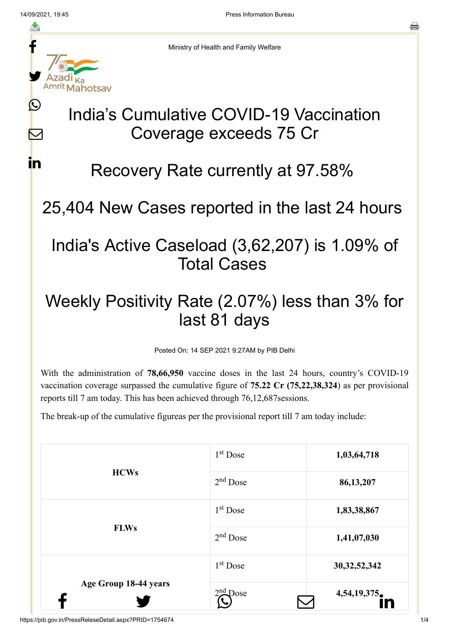f

≛

y.

**Mahotsav** 

 $\bigcirc$ 

M

in

른

Ministry of Health and Family Welfare

# India's Cumulative COVID-19 Vaccination Coverage exceeds 75 Cr

## Recovery Rate currently at 97.58%

## 25,404 New Cases reported in the last 24 hours

### India's Active Caseload (3,62,207) is 1.09% of Total Cases

## Weekly Positivity Rate (2.07%) less than 3% for last 81 days

Posted On: 14 SEP 2021 9:27AM by PIB Delhi

With the administration of **78,66,950** vaccine doses in the last 24 hours, country's COVID-19 vaccination coverage surpassed the cumulative figure of **75.22 Cr (75,22,38,324**) as per provisional reports till 7 am today. This has been achieved through 76,12,687sessions.

The break-up of the cumulative figureas per the provisional report till 7 am today include:

| <b>HCWs</b><br><b>FLWs</b> | $1st$ Dose           | 1,03,64,718     |
|----------------------------|----------------------|-----------------|
|                            | $2nd$ Dose           | 86,13,207       |
|                            | 1 <sup>st</sup> Dose | 1,83,38,867     |
|                            | $2nd$ Dose           | 1,41,07,030     |
| Age Group 18-44 years      | $1st$ Dose           | 30, 32, 52, 342 |
|                            | $2nd$ Dose           | 4,54,19,375     |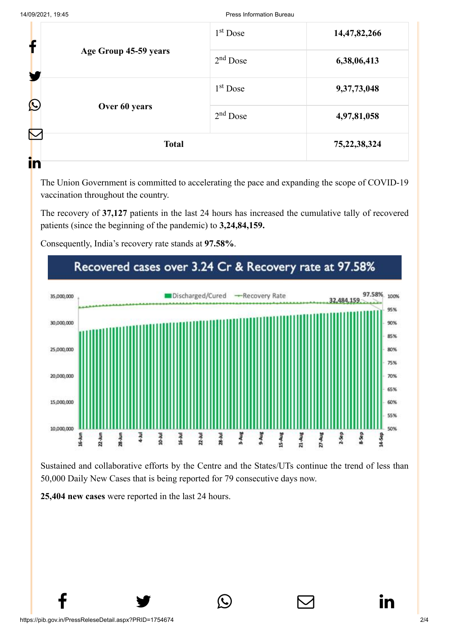|                            |               | $1st$ Dose  | 14,47,82,266    |
|----------------------------|---------------|-------------|-----------------|
| T<br>Age Group 45-59 years | $2nd$ Dose    | 6,38,06,413 |                 |
|                            |               | $1st$ Dose  | 9,37,73,048     |
| C                          | Over 60 years | $2nd$ Dose  | 4,97,81,058     |
|                            | <b>Total</b>  |             | 75, 22, 38, 324 |
| in                         |               |             |                 |

The Union Government is committed to accelerating the pace and expanding the scope of COVID-19 vaccination throughout the country.

The recovery of **37,127** patients in the last 24 hours has increased the cumulative tally of recovered patients (since the beginning of the pandemic) to **3,24,84,159.**

Consequently, India's recovery rate stands at **97.58%**.



Sustained and collaborative efforts by the Centre and the States/UTs continue the trend of less than 50,000 Daily New Cases that is being reported for 79 consecutive days now.

 $f \qquad \qquad \bullet \qquad \circledcirc \qquad \qquad \circledcirc$ 

**25,404 new cases** were reported in the last 24 hours.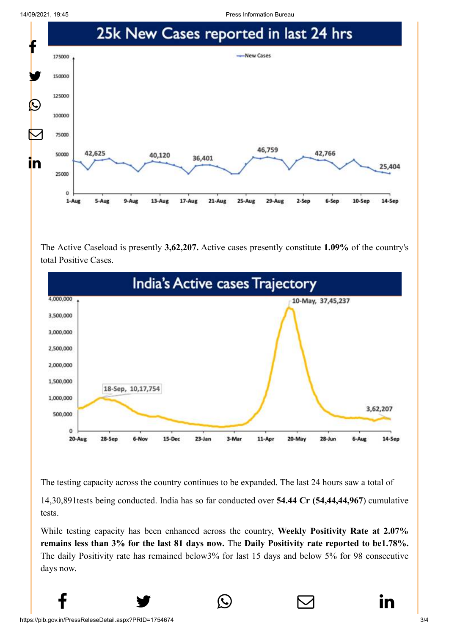14/09/2021, 19:45 Press Information Bureau



The Active Caseload is presently **3,62,207.** Active cases presently constitute **1.09%** of the country's total Positive Cases.



The testing capacity across the country continues to be expanded. The last 24 hours saw a total of

14,30,891tests being conducted. India has so far conducted over **54.44 Cr (54,44,44,967**) cumulative tests.

While testing capacity has been enhanced across the country, **Weekly Positivity Rate at 2.07% remains less than 3% for the last 81 days now.** The **Daily Positivity rate reported to be1.78%.** The daily Positivity rate has remained below3% for last 15 days and below 5% for 98 consecutive days now.

 $f \qquad \qquad \bullet \qquad \circlearrowright \qquad \qquad \circlearrowright \qquad \qquad \bullet$